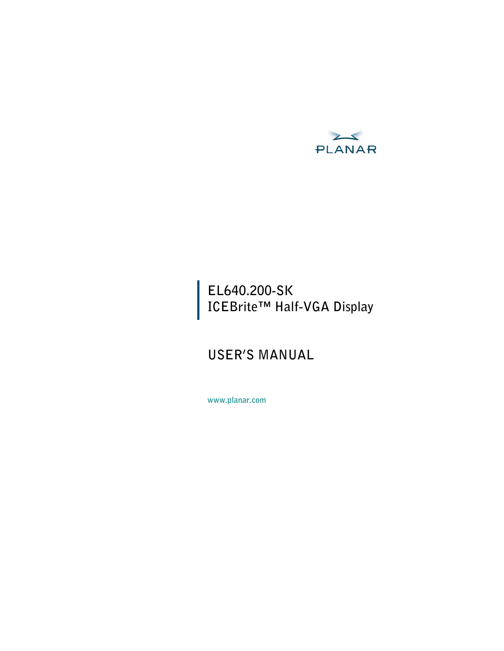

## **EL640.200-SK ICEBrite™ Half-VGA Display**

# **USER'S MANUAL**

**www.planar.com**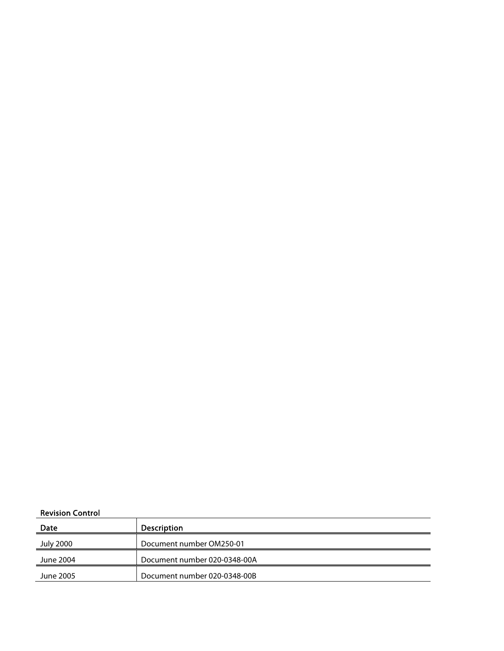#### Revision Control

| Date      | <b>Description</b>           |
|-----------|------------------------------|
| July 2000 | Document number OM250-01     |
| June 2004 | Document number 020-0348-00A |
| June 2005 | Document number 020-0348-00B |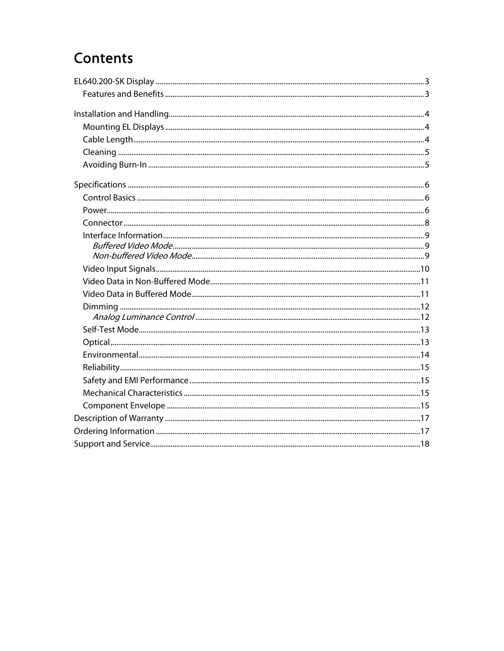# Contents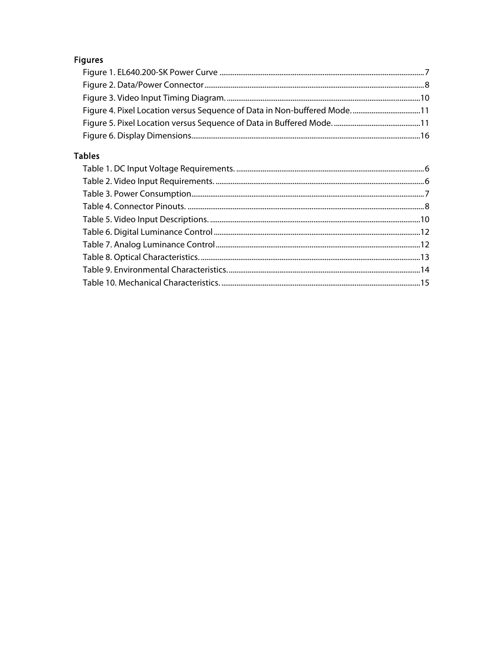## **Figures**

| Figure 4. Pixel Location versus Sequence of Data in Non-buffered Mode11 |  |
|-------------------------------------------------------------------------|--|
|                                                                         |  |
|                                                                         |  |

## **Tables**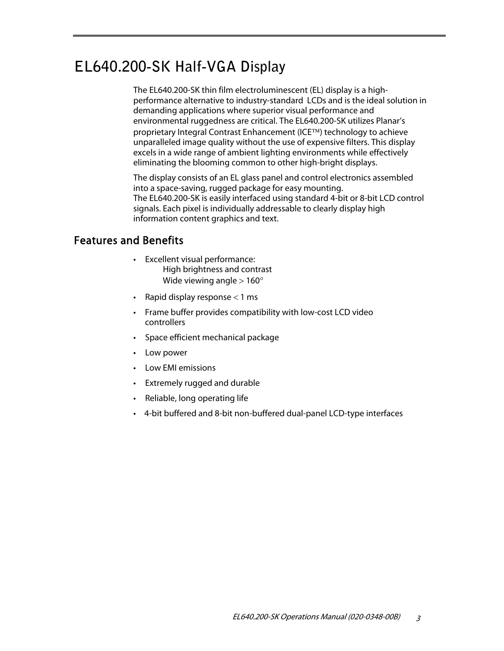# **EL640.200-SK Half-VGA Display**

The EL640.200-SK thin film electroluminescent (EL) display is a highperformance alternative to industry-standard LCDs and is the ideal solution in demanding applications where superior visual performance and environmental ruggedness are critical. The EL640.200-SK utilizes Planar's proprietary Integral Contrast Enhancement (ICE<sup>TM</sup>) technology to achieve unparalleled image quality without the use of expensive filters. This display excels in a wide range of ambient lighting environments while effectively eliminating the blooming common to other high-bright displays.

The display consists of an EL glass panel and control electronics assembled into a space-saving, rugged package for easy mounting. The EL640.200-SK is easily interfaced using standard 4-bit or 8-bit LCD control signals. Each pixel is individually addressable to clearly display high information content graphics and text.

## Features and Benefits

- Excellent visual performance: High brightness and contrast Wide viewing angle  $> 160^\circ$
- Rapid display response  $<$  1 ms
- Frame buffer provides compatibility with low-cost LCD video controllers
- Space efficient mechanical package
- Low power
- Low EMI emissions
- Extremely rugged and durable
- Reliable, long operating life
- 4-bit buffered and 8-bit non-buffered dual-panel LCD-type interfaces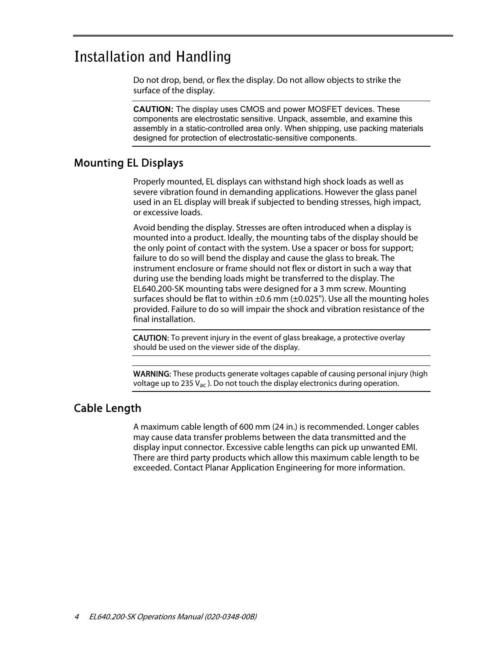## **Installation and Handling**

Do not drop, bend, or flex the display. Do not allow objects to strike the surface of the display.

**CAUTION:** The display uses CMOS and power MOSFET devices. These components are electrostatic sensitive. Unpack, assemble, and examine this assembly in a static-controlled area only. When shipping, use packing materials designed for protection of electrostatic-sensitive components.

### Mounting EL Displays

Properly mounted, EL displays can withstand high shock loads as well as severe vibration found in demanding applications. However the glass panel used in an EL display will break if subjected to bending stresses, high impact, or excessive loads.

Avoid bending the display. Stresses are often introduced when a display is mounted into a product. Ideally, the mounting tabs of the display should be the only point of contact with the system. Use a spacer or boss for support; failure to do so will bend the display and cause the glass to break. The instrument enclosure or frame should not flex or distort in such a way that during use the bending loads might be transferred to the display. The EL640.200-SK mounting tabs were designed for a 3 mm screw. Mounting surfaces should be flat to within  $\pm 0.6$  mm ( $\pm 0.025$ "). Use all the mounting holes provided. Failure to do so will impair the shock and vibration resistance of the final installation.

CAUTION: To prevent injury in the event of glass breakage, a protective overlay should be used on the viewer side of the display.

WARNING: These products generate voltages capable of causing personal injury (high voltage up to 235  $V_{ac}$ ). Do not touch the display electronics during operation.

#### Cable Length

A maximum cable length of 600 mm (24 in.) is recommended. Longer cables may cause data transfer problems between the data transmitted and the display input connector. Excessive cable lengths can pick up unwanted EMI. There are third party products which allow this maximum cable length to be exceeded. Contact Planar Application Engineering for more information.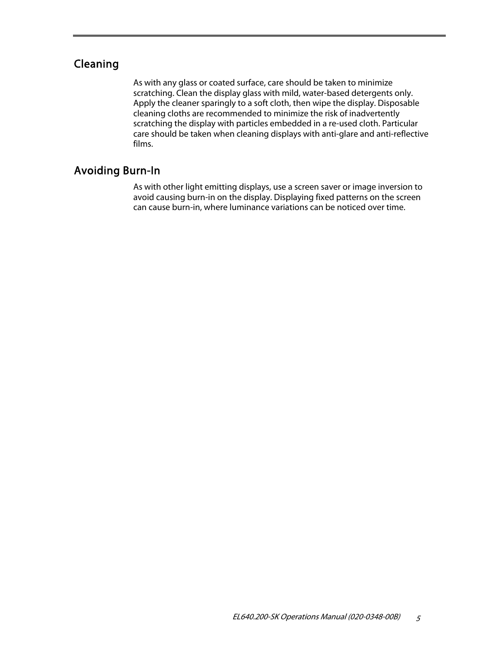## Cleaning

As with any glass or coated surface, care should be taken to minimize scratching. Clean the display glass with mild, water-based detergents only. Apply the cleaner sparingly to a soft cloth, then wipe the display. Disposable cleaning cloths are recommended to minimize the risk of inadvertently scratching the display with particles embedded in a re-used cloth. Particular care should be taken when cleaning displays with anti-glare and anti-reflective films.

## Avoiding Burn-In

As with other light emitting displays, use a screen saver or image inversion to avoid causing burn-in on the display. Displaying fixed patterns on the screen can cause burn-in, where luminance variations can be noticed over time.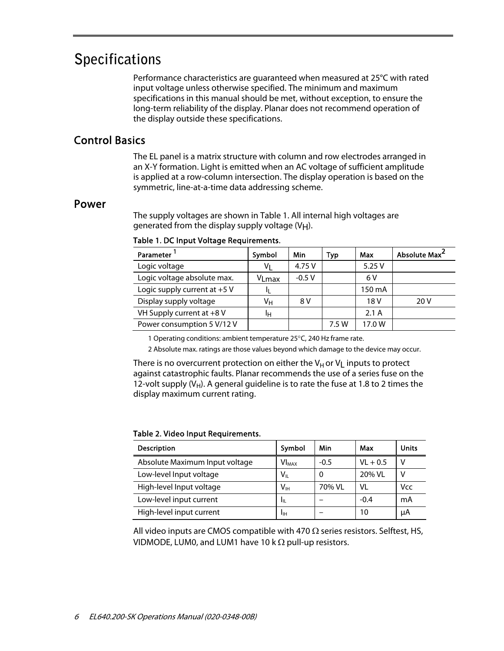## **Specifications**

Performance characteristics are guaranteed when measured at 25°C with rated input voltage unless otherwise specified. The minimum and maximum specifications in this manual should be met, without exception, to ensure the long-term reliability of the display. Planar does not recommend operation of the display outside these specifications.

## Control Basics

The EL panel is a matrix structure with column and row electrodes arranged in an X-Y formation. Light is emitted when an AC voltage of sufficient amplitude is applied at a row-column intersection. The display operation is based on the symmetric, line-at-a-time data addressing scheme.

#### Power

The supply voltages are shown in Table 1. All internal high voltages are generated from the display supply voltage  $(V_H)$ .

| Parameter                      | Symbol | Min     | Typ   | Max    | Absolute Max <sup>2</sup> |
|--------------------------------|--------|---------|-------|--------|---------------------------|
| Logic voltage                  | V١     | 4.75 V  |       | 5.25V  |                           |
| Logic voltage absolute max.    | VLmax  | $-0.5V$ |       | 6 V    |                           |
| Logic supply current at $+5$ V |        |         |       | 150 mA |                           |
| Display supply voltage         | Vн     | 8 V     |       | 18 V   | 20 V                      |
| VH Supply current at +8 V      | Iн     |         |       | 2.1A   |                           |
| Power consumption 5 V/12 V     |        |         | 7.5 W | 17.0 W |                           |

#### Table 1. DC Input Voltage Requirements.

1 Operating conditions: ambient temperature 25°C, 240 Hz frame rate.

2 Absolute max. ratings are those values beyond which damage to the device may occur.

There is no overcurrent protection on either the  $V_H$  or  $V_L$  inputs to protect against catastrophic faults. Planar recommends the use of a series fuse on the 12-volt supply  $(V_H)$ . A general guideline is to rate the fuse at 1.8 to 2 times the display maximum current rating.

#### Table 2. Video Input Requirements.

| <b>Description</b>             | Symbol                  | Min    | Max        | <b>Units</b> |
|--------------------------------|-------------------------|--------|------------|--------------|
| Absolute Maximum Input voltage | <b>VI<sub>MAX</sub></b> | $-0.5$ | $VL + 0.5$ |              |
| Low-level Input voltage        | $\sf{V}_{\sf IL}$       | 0      | 20% VL     |              |
| High-level Input voltage       | Vıн                     | 70% VL | VI         | Vcc          |
| Low-level input current        | Чπ                      |        | $-0.4$     | mA           |
| High-level input current       | IJн                     |        | 10         | μA           |

All video inputs are CMOS compatible with 470  $\Omega$  series resistors. Selftest, HS, VIDMODE, LUM0, and LUM1 have 10 k  $\Omega$  pull-up resistors.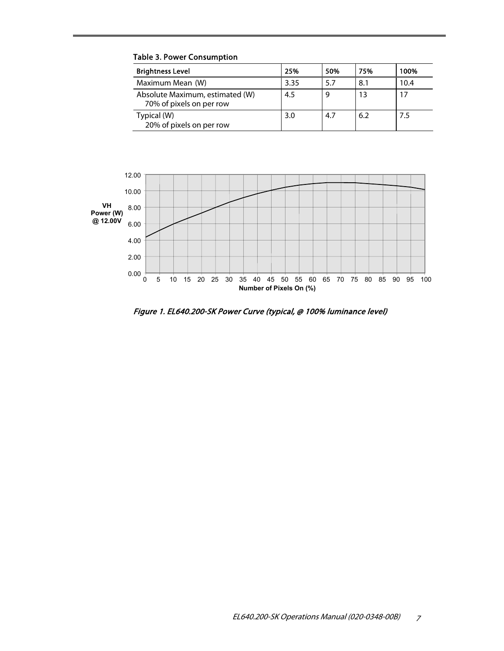| <b>Brightness Level</b>                                     | 25%  | 50% | 75% | 100% |
|-------------------------------------------------------------|------|-----|-----|------|
| Maximum Mean (W)                                            | 3.35 | 5.7 | 8.1 | 10.4 |
| Absolute Maximum, estimated (W)<br>70% of pixels on per row | 4.5  |     |     |      |
| Typical (W)<br>20% of pixels on per row                     | 3.0  | 4.7 | 6.2 | 7.5  |

Table 3. Power Consumption



Figure 1. EL640.200-SK Power Curve (typical, @ 100% luminance level)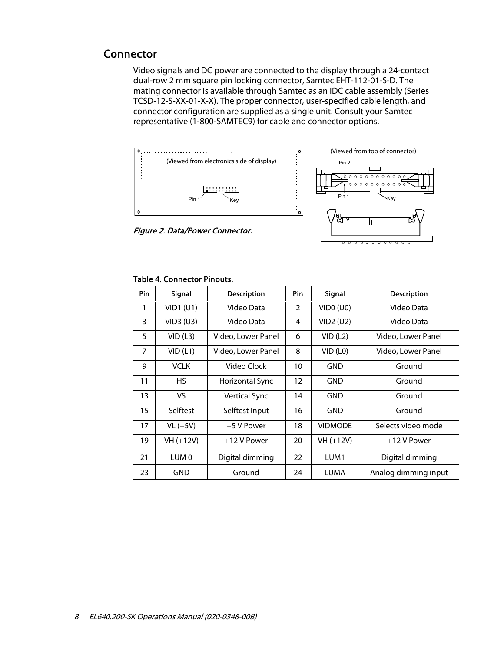### Connector

Video signals and DC power are connected to the display through a 24-contact dual-row 2 mm square pin locking connector, Samtec EHT-112-01-S-D. The mating connector is available through Samtec as an IDC cable assembly (Series TCSD-12-S-XX-01-X-X). The proper connector, user-specified cable length, and connector configuration are supplied as a single unit. Consult your Samtec representative (1-800-SAMTEC9) for cable and connector options.



Figure 2. Data/Power Connector.

|  | . . |  |  |  |
|--|-----|--|--|--|

| Pin            | Signal                     | <b>Description</b>   | Pin               | Signal           | <b>Description</b>   |
|----------------|----------------------------|----------------------|-------------------|------------------|----------------------|
| 1              | $VID1$ (U1)                | Video Data           | $\overline{2}$    | VIDO (U0)        | Video Data           |
| 3              | VID3 (U3)                  | Video Data           | 4                 | VID2 (U2)        | Video Data           |
| 5              | VID(L3)                    | Video, Lower Panel   | 6                 | VID (L2)         | Video, Lower Panel   |
| $\overline{7}$ | VID(L1)                    | Video, Lower Panel   | 8                 | VID (L0)         | Video, Lower Panel   |
| 9              | <b>VCLK</b><br>Video Clock |                      | 10                | GND              | Ground               |
| 11             | HS.                        | Horizontal Sync      | $12 \overline{ }$ | <b>GND</b>       | Ground               |
| 13             | VS.                        | <b>Vertical Sync</b> | 14                | <b>GND</b>       | Ground               |
| 15             | Selftest                   | Selftest Input       | 16                | GND              | Ground               |
| 17             | $VL (+5V)$                 | +5 V Power           | 18                | <b>VIDMODE</b>   | Selects video mode   |
| 19             | VH (+12V)                  | +12 V Power          | 20                | $VH (+12V)$      | +12 V Power          |
| 21             | LUM <sub>0</sub>           | Digital dimming      | 22                | LUM <sub>1</sub> | Digital dimming      |
| 23             | GND                        | Ground               | 24                | <b>LUMA</b>      | Analog dimming input |

#### Table 4. Connector Pinouts.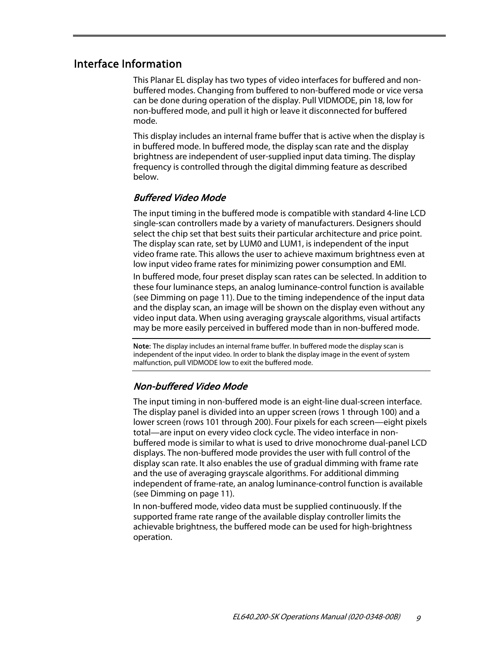#### Interface Information

This Planar EL display has two types of video interfaces for buffered and nonbuffered modes. Changing from buffered to non-buffered mode or vice versa can be done during operation of the display. Pull VIDMODE, pin 18, low for non-buffered mode, and pull it high or leave it disconnected for buffered mode.

This display includes an internal frame buffer that is active when the display is in buffered mode. In buffered mode, the display scan rate and the display brightness are independent of user-supplied input data timing. The display frequency is controlled through the digital dimming feature as described below.

#### Buffered Video Mode

The input timing in the buffered mode is compatible with standard 4-line LCD single-scan controllers made by a variety of manufacturers. Designers should select the chip set that best suits their particular architecture and price point. The display scan rate, set by LUM0 and LUM1, is independent of the input video frame rate. This allows the user to achieve maximum brightness even at low input video frame rates for minimizing power consumption and EMI.

In buffered mode, four preset display scan rates can be selected. In addition to these four luminance steps, an analog luminance-control function is available (see Dimming on page 11). Due to the timing independence of the input data and the display scan, an image will be shown on the display even without any video input data. When using averaging grayscale algorithms, visual artifacts may be more easily perceived in buffered mode than in non-buffered mode.

Note: The display includes an internal frame buffer. In buffered mode the display scan is independent of the input video. In order to blank the display image in the event of system malfunction, pull VIDMODE low to exit the buffered mode.

#### Non-buffered Video Mode

The input timing in non-buffered mode is an eight-line dual-screen interface. The display panel is divided into an upper screen (rows 1 through 100) and a lower screen (rows 101 through 200). Four pixels for each screen—eight pixels total—are input on every video clock cycle. The video interface in nonbuffered mode is similar to what is used to drive monochrome dual-panel LCD displays. The non-buffered mode provides the user with full control of the display scan rate. It also enables the use of gradual dimming with frame rate and the use of averaging grayscale algorithms. For additional dimming independent of frame-rate, an analog luminance-control function is available (see Dimming on page 11).

In non-buffered mode, video data must be supplied continuously. If the supported frame rate range of the available display controller limits the achievable brightness, the buffered mode can be used for high-brightness operation.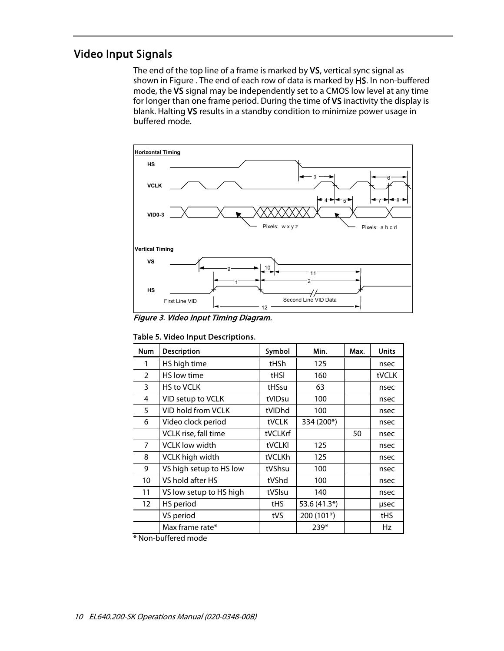## Video Input Signals

The end of the top line of a frame is marked by VS, vertical sync signal as shown in Figure . The end of each row of data is marked by HS. In non-buffered mode, the VS signal may be independently set to a CMOS low level at any time for longer than one frame period. During the time of VS inactivity the display is blank. Halting VS results in a standby condition to minimize power usage in buffered mode.



Figure 3. Video Input Timing Diagram.

|  | Table 5. Video Input Descriptions. |
|--|------------------------------------|
|--|------------------------------------|

| <b>Num</b>        | Description             | Symbol  | Min.         | Max. | <b>Units</b> |
|-------------------|-------------------------|---------|--------------|------|--------------|
|                   | HS high time            | tHSh    | 125          |      | nsec         |
| $\mathcal{P}$     | HS low time             | tHSI    | 160          |      | tVCLK        |
| 3                 | <b>HS to VCLK</b>       | tHSsu   | 63           |      | nsec         |
| 4                 | VID setup to VCLK       | tVIDsu  | 100          |      | nsec         |
| 5                 | VID hold from VCLK      | tVIDhd  | 100          |      | nsec         |
| 6                 | Video clock period      | tVCLK   | 334 (200*)   |      | nsec         |
|                   | VCLK rise, fall time    | tVCLKrf |              | 50   | nsec         |
| 7                 | <b>VCLK</b> low width   | tVCLKI  | 125          |      | nsec         |
| 8                 | VCLK high width         | tVCLKh  | 125          |      | nsec         |
| 9                 | VS high setup to HS low | tVShsu  | 100          |      | nsec         |
| 10                | VS hold after HS        | tVShd   | 100          |      | nsec         |
| 11                | VS low setup to HS high | tVSIsu  | 140          |      | nsec         |
| $12 \overline{ }$ | HS period               | tHS     | 53.6 (41.3*) |      | usec         |
|                   | VS period               | tVS     | 200 (101*)   |      | tHS          |
|                   | Max frame rate*         |         | $239*$       |      | Hz           |

\* Non-buffered mode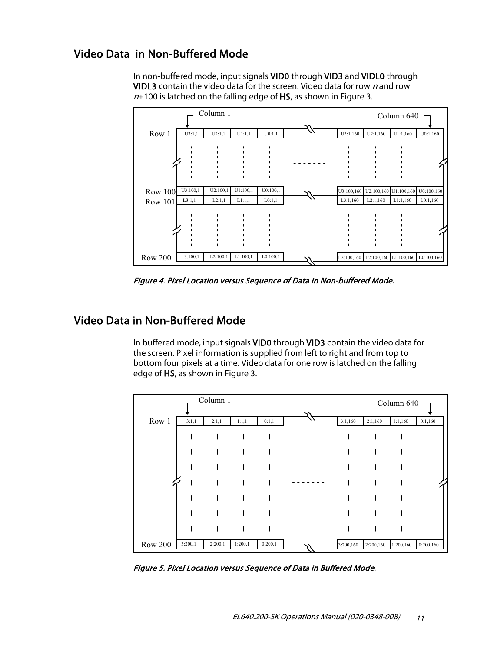## Video Data in Non-Buffered Mode

In non-buffered mode, input signals VID0 through VID3 and VIDL0 through VIDL3 contain the video data for the screen. Video data for row  $n$  and row  $n+100$  is latched on the falling edge of HS, as shown in Figure 3.



Figure 4. Pixel Location versus Sequence of Data in Non-buffered Mode.

### Video Data in Non-Buffered Mode

In buffered mode, input signals VID0 through VID3 contain the video data for the screen. Pixel information is supplied from left to right and from top to bottom four pixels at a time. Video data for one row is latched on the falling edge of HS, as shown in Figure 3.

|                |         | Column 1 |         |         |           |           | Column 640 |           |
|----------------|---------|----------|---------|---------|-----------|-----------|------------|-----------|
| Row 1          | 3:1,1   | 2:1,1    | 1:1,1   | 0:1,1   | 3:1,160   | 2:1,160   | 1:1,160    | 0:1,160   |
|                |         |          |         |         |           |           |            |           |
|                |         |          |         |         |           |           |            |           |
|                |         |          |         |         |           |           |            |           |
|                |         |          |         |         |           |           |            |           |
|                |         |          |         |         |           |           |            |           |
|                |         |          |         |         |           |           |            |           |
|                |         |          |         |         |           |           |            |           |
| <b>Row 200</b> | 3:200,1 | 2:200,1  | 1:200,1 | 0:200,1 | 3:200,160 | 2:200,160 | 1:200,160  | 0:200,160 |

Figure 5. Pixel Location versus Sequence of Data in Buffered Mode.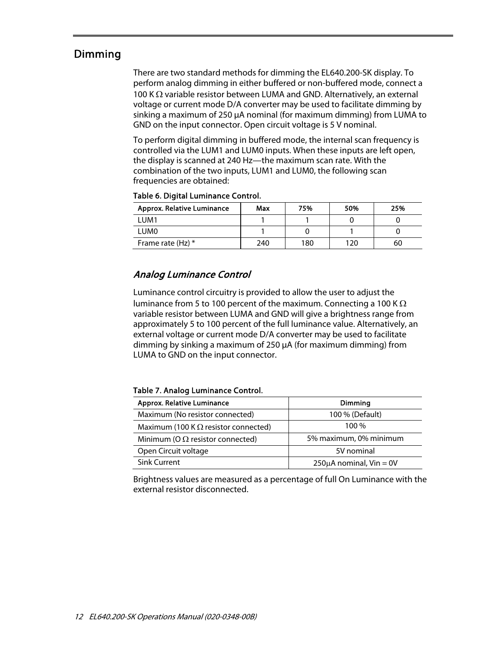### Dimming

There are two standard methods for dimming the EL640.200-SK display. To perform analog dimming in either buffered or non-buffered mode, connect a 100 K  $\Omega$  variable resistor between LUMA and GND. Alternatively, an external voltage or current mode D/A converter may be used to facilitate dimming by sinking a maximum of 250 µA nominal (for maximum dimming) from LUMA to GND on the input connector. Open circuit voltage is 5 V nominal.

To perform digital dimming in buffered mode, the internal scan frequency is controlled via the LUM1 and LUM0 inputs. When these inputs are left open, the display is scanned at 240 Hz—the maximum scan rate. With the combination of the two inputs, LUM1 and LUM0, the following scan frequencies are obtained:

| Approx. Relative Luminance | Max | 75% | 50% | 25% |
|----------------------------|-----|-----|-----|-----|
| I UM1                      |     |     |     |     |
| LUM <sub>0</sub>           |     |     |     |     |
| Frame rate (Hz) *          | 240 | 180 | 120 | 60  |

#### Table 6. Digital Luminance Control.

#### Analog Luminance Control

Luminance control circuitry is provided to allow the user to adjust the luminance from 5 to 100 percent of the maximum. Connecting a 100 K  $\Omega$ variable resistor between LUMA and GND will give a brightness range from approximately 5 to 100 percent of the full luminance value. Alternatively, an external voltage or current mode D/A converter may be used to facilitate dimming by sinking a maximum of 250 µA (for maximum dimming) from LUMA to GND on the input connector.

#### Table 7. Analog Luminance Control.

| Approx. Relative Luminance                  | Dimming                      |
|---------------------------------------------|------------------------------|
| Maximum (No resistor connected)             | 100 % (Default)              |
| Maximum (100 K $\Omega$ resistor connected) | $100\%$                      |
| Minimum (O $\Omega$ resistor connected)     | 5% maximum, 0% minimum       |
| Open Circuit voltage                        | 5V nominal                   |
| <b>Sink Current</b>                         | $250\mu$ A nominal, Vin = 0V |

Brightness values are measured as a percentage of full On Luminance with the external resistor disconnected.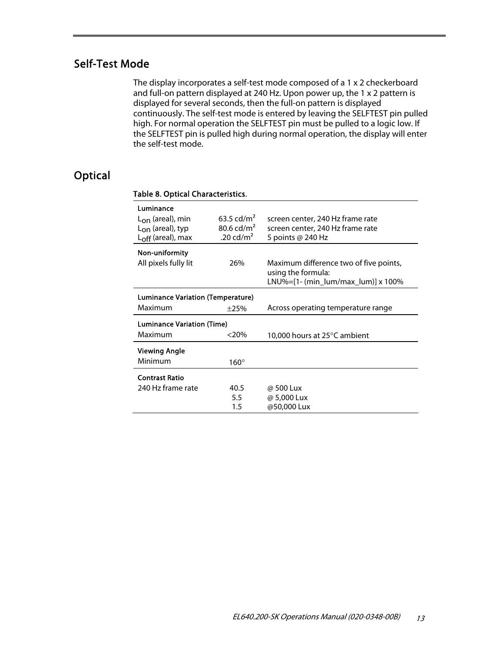## Self-Test Mode

The display incorporates a self-test mode composed of a 1 x 2 checkerboard and full-on pattern displayed at 240 Hz. Upon power up, the 1 x 2 pattern is displayed for several seconds, then the full-on pattern is displayed continuously. The self-test mode is entered by leaving the SELFTEST pin pulled high. For normal operation the SELFTEST pin must be pulled to a logic low. If the SELFTEST pin is pulled high during normal operation, the display will enter the self-test mode.

## **Optical**

| Luminance                         |                          |                                                              |
|-----------------------------------|--------------------------|--------------------------------------------------------------|
| $L_{\rm{on}}$ (areal), min        | 63.5 cd/m <sup>2</sup>   | screen center, 240 Hz frame rate                             |
| $L_{on}$ (areal), typ             | $80.6$ cd/m <sup>2</sup> | screen center, 240 Hz frame rate                             |
| $L_{off}$ (areal), max            | .20 cd/ $m2$             | 5 points @ 240 Hz                                            |
| Non-uniformity                    |                          |                                                              |
| All pixels fully lit              | 26%                      | Maximum difference two of five points,<br>using the formula: |
|                                   |                          | LNU%=[1- (min_lum/max_lum)] x 100%                           |
| Luminance Variation (Temperature) |                          |                                                              |
| Maximum                           | ±25%                     | Across operating temperature range                           |
| <b>Luminance Variation (Time)</b> |                          |                                                              |
| Maximum                           | $<$ 20%                  | 10,000 hours at $25^{\circ}$ C ambient                       |
| Viewing Angle                     |                          |                                                              |
| Minimum                           | $160^\circ$              |                                                              |
| <b>Contrast Ratio</b>             |                          |                                                              |
| 240 Hz frame rate                 | 40.5                     | @ 500 Lux                                                    |
|                                   | 5.5                      | @ 5,000 Lux                                                  |
|                                   | 1.5                      | @50,000 Lux                                                  |

#### Table 8. Optical Characteristics.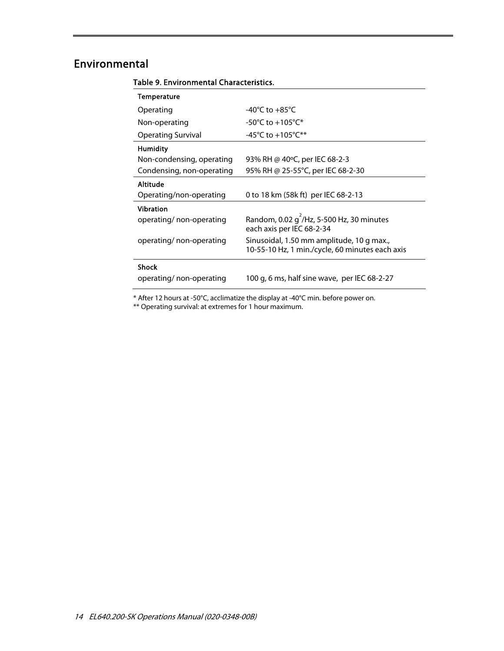## Environmental

| $-40^{\circ}$ C to $+85^{\circ}$ C                                                           |  |
|----------------------------------------------------------------------------------------------|--|
| $-50^{\circ}$ C to $+105^{\circ}$ C*                                                         |  |
| -45°C to +105°C**                                                                            |  |
|                                                                                              |  |
| 93% RH @ 40°C, per IEC 68-2-3                                                                |  |
| 95% RH @ 25-55°C, per IEC 68-2-30                                                            |  |
|                                                                                              |  |
| 0 to 18 km (58k ft) per IEC 68-2-13                                                          |  |
|                                                                                              |  |
| Random, 0.02 $q^2$ /Hz, 5-500 Hz, 30 minutes<br>each axis per IEC 68-2-34                    |  |
| Sinusoidal, 1.50 mm amplitude, 10 g max.,<br>10-55-10 Hz, 1 min./cycle, 60 minutes each axis |  |
|                                                                                              |  |
| 100 g, 6 ms, half sine wave, per IEC 68-2-27                                                 |  |
|                                                                                              |  |

#### Table 9. Environmental Characteristics.

\* After 12 hours at -50°C, acclimatize the display at -40°C min. before power on.

\*\* Operating survival: at extremes for 1 hour maximum.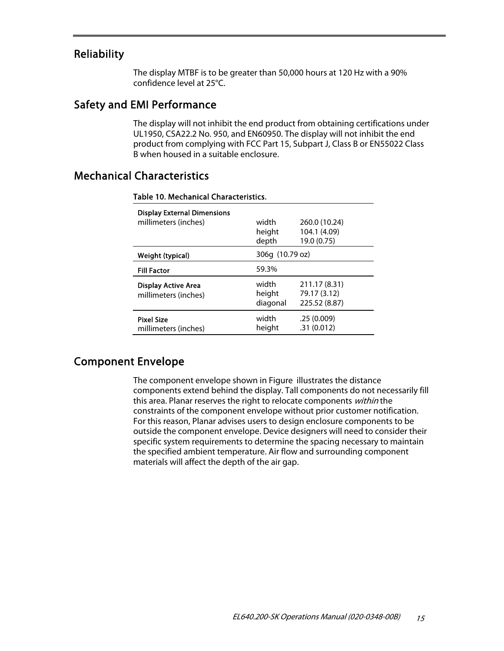#### Reliability

The display MTBF is to be greater than 50,000 hours at 120 Hz with a 90% confidence level at 25°C.

#### Safety and EMI Performance

The display will not inhibit the end product from obtaining certifications under UL1950, CSA22.2 No. 950, and EN60950. The display will not inhibit the end product from complying with FCC Part 15, Subpart J, Class B or EN55022 Class B when housed in a suitable enclosure.

### Mechanical Characteristics

| <b>Display External Dimensions</b><br>millimeters (inches) | width<br>height             | 260.0 (10.24)<br>104.1 (4.09)                  |  |
|------------------------------------------------------------|-----------------------------|------------------------------------------------|--|
| Weight (typical)                                           | depth<br>306g (10.79 oz)    | 19.0 (0.75)                                    |  |
| <b>Fill Factor</b>                                         | 59.3%                       |                                                |  |
| <b>Display Active Area</b><br>millimeters (inches)         | width<br>height<br>diagonal | 211.17 (8.31)<br>79.17 (3.12)<br>225.52 (8.87) |  |
| <b>Pixel Size</b><br>millimeters (inches)                  | width<br>height             | .25(0.009)<br>.31(0.012)                       |  |

#### Table 10. Mechanical Characteristics.

### Component Envelope

The component envelope shown in Figure illustrates the distance components extend behind the display. Tall components do not necessarily fill this area. Planar reserves the right to relocate components within the constraints of the component envelope without prior customer notification. For this reason, Planar advises users to design enclosure components to be outside the component envelope. Device designers will need to consider their specific system requirements to determine the spacing necessary to maintain the specified ambient temperature. Air flow and surrounding component materials will affect the depth of the air gap.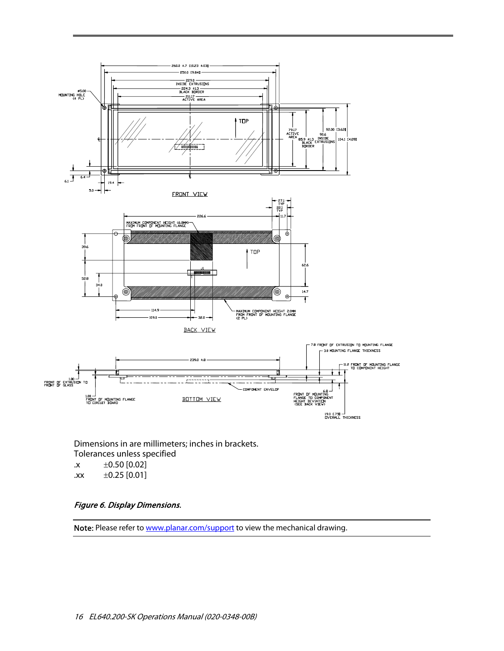

Dimensions in are millimeters; inches in brackets. Tolerances unless specified  $\text{x} \qquad \pm 0.50 \, [0.02]$ 

.xx  $\pm 0.25$  [0.01]

#### Figure 6. Display Dimensions.

Note: Please refer to www.planar.com/support to view the mechanical drawing.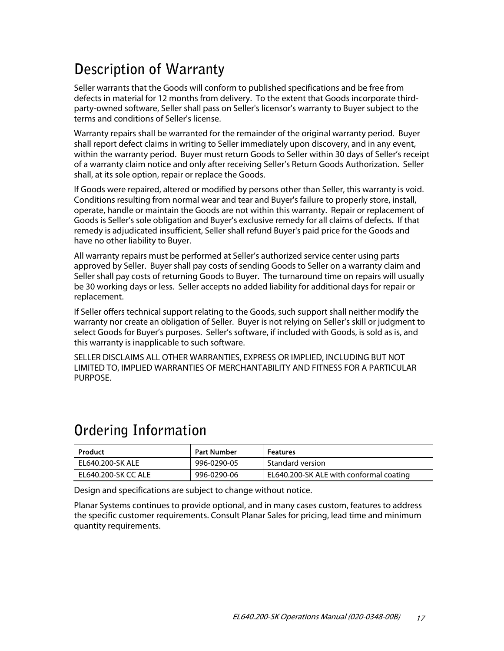# **Description of Warranty**

Seller warrants that the Goods will conform to published specifications and be free from defects in material for 12 months from delivery. To the extent that Goods incorporate thirdparty-owned software, Seller shall pass on Seller's licensor's warranty to Buyer subject to the terms and conditions of Seller's license.

Warranty repairs shall be warranted for the remainder of the original warranty period. Buyer shall report defect claims in writing to Seller immediately upon discovery, and in any event, within the warranty period. Buyer must return Goods to Seller within 30 days of Seller's receipt of a warranty claim notice and only after receiving Seller's Return Goods Authorization. Seller shall, at its sole option, repair or replace the Goods.

If Goods were repaired, altered or modified by persons other than Seller, this warranty is void. Conditions resulting from normal wear and tear and Buyer's failure to properly store, install, operate, handle or maintain the Goods are not within this warranty. Repair or replacement of Goods is Seller's sole obligation and Buyer's exclusive remedy for all claims of defects. If that remedy is adjudicated insufficient, Seller shall refund Buyer's paid price for the Goods and have no other liability to Buyer.

All warranty repairs must be performed at Seller's authorized service center using parts approved by Seller. Buyer shall pay costs of sending Goods to Seller on a warranty claim and Seller shall pay costs of returning Goods to Buyer. The turnaround time on repairs will usually be 30 working days or less. Seller accepts no added liability for additional days for repair or replacement.

If Seller offers technical support relating to the Goods, such support shall neither modify the warranty nor create an obligation of Seller. Buyer is not relying on Seller's skill or judgment to select Goods for Buyer's purposes. Seller's software, if included with Goods, is sold as is, and this warranty is inapplicable to such software.

SELLER DISCLAIMS ALL OTHER WARRANTIES, EXPRESS OR IMPLIED, INCLUDING BUT NOT LIMITED TO, IMPLIED WARRANTIES OF MERCHANTABILITY AND FITNESS FOR A PARTICULAR PURPOSE.

| <b>Product</b>      | <b>Part Number</b> | <b>Features</b>                         |
|---------------------|--------------------|-----------------------------------------|
| EL640.200-SK ALE    | 996-0290-05        | Standard version                        |
| EL640.200-SK CC ALE | 996-0290-06        | EL640.200-SK ALE with conformal coating |

## **Ordering Information**

Design and specifications are subject to change without notice.

Planar Systems continues to provide optional, and in many cases custom, features to address the specific customer requirements. Consult Planar Sales for pricing, lead time and minimum quantity requirements.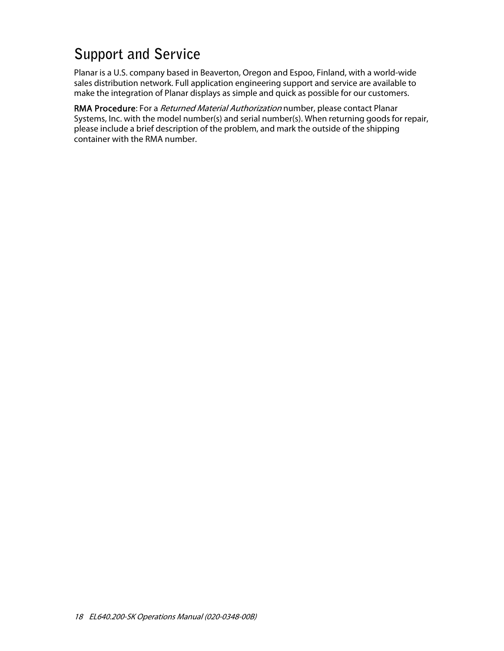# **Support and Service**

Planar is a U.S. company based in Beaverton, Oregon and Espoo, Finland, with a world-wide sales distribution network. Full application engineering support and service are available to make the integration of Planar displays as simple and quick as possible for our customers.

RMA Procedure: For a Returned Material Authorization number, please contact Planar Systems, Inc. with the model number(s) and serial number(s). When returning goods for repair, please include a brief description of the problem, and mark the outside of the shipping container with the RMA number.